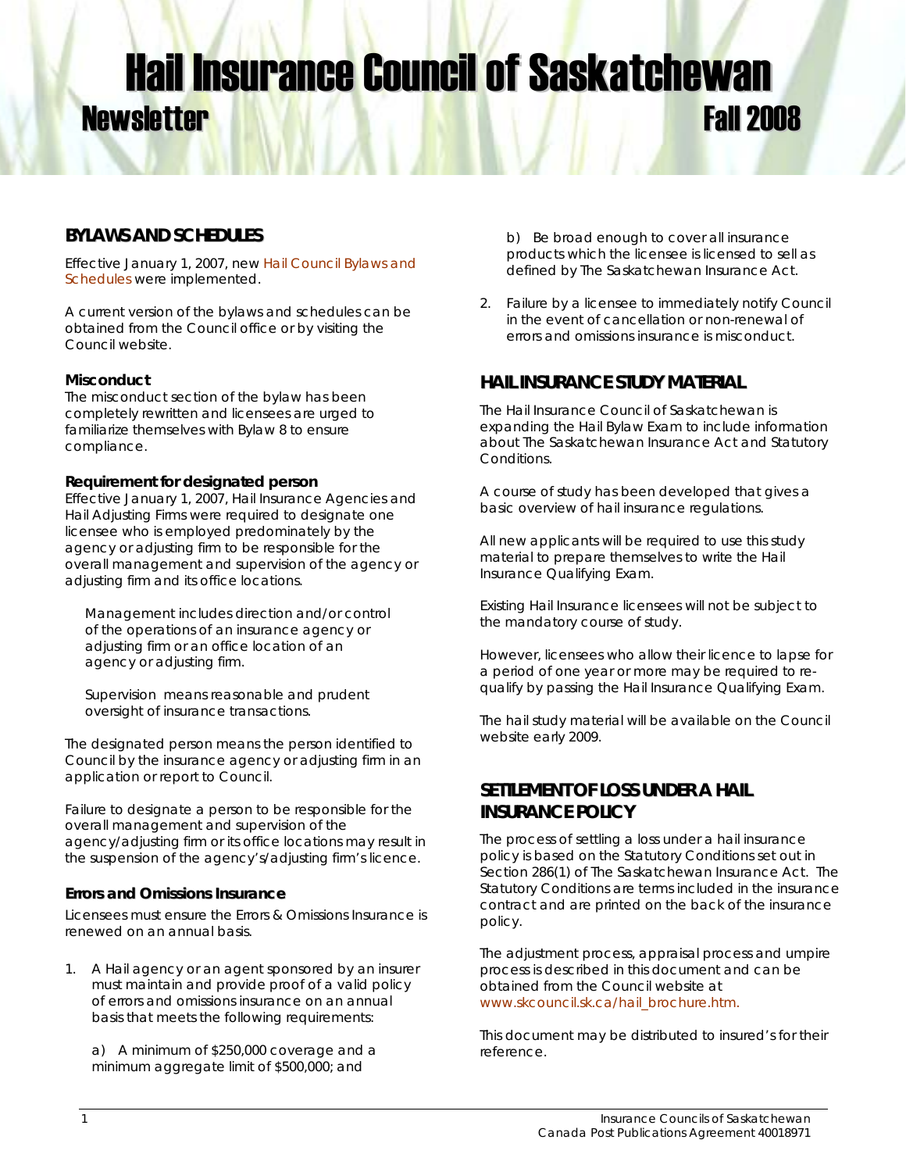# **Hail Insurance Council of Saskatchewan Newsletter Fall 2008**

# **BYLAWS AND SCHEDULES**

Effective January 1, 2007, new [Hail Council Bylaws and](http://www.skcouncil.sk.ca/hailbyla.htm)  [Schedules](http://www.skcouncil.sk.ca/hailbyla.htm) were implemented.

A current version of the bylaws and schedules can be obtained from the Council office or by visiting the Council website.

### **Misconduct**

The misconduct section of the bylaw has been completely rewritten and licensees are urged to familiarize themselves with Bylaw 8 to ensure compliance.

#### **Requirement for designated person**

Effective January 1, 2007, Hail Insurance Agencies and Hail Adjusting Firms were required to designate one licensee who is employed predominately by the agency or adjusting firm to be responsible for the overall management and supervision of the agency or adjusting firm and its office locations.

*Management includes direction and/or control of the operations of an insurance agency or adjusting firm or an office location of an agency or adjusting firm.* 

*Supervision means reasonable and prudent oversight of insurance transactions.*

The designated person means the person identified to Council by the insurance agency or adjusting firm in an application or report to Council.

Failure to designate a person to be responsible for the overall management and supervision of the agency/adjusting firm or its office locations may result in the suspension of the agency's/adjusting firm's licence.

### **Errors and Omissions Insurance**

Licensees must ensure the Errors & Omissions Insurance is renewed on an annual basis.

1. A Hail agency or an agent sponsored by an insurer must maintain and provide proof of a valid policy of errors and omissions insurance on an annual basis that meets the following requirements:

a) A minimum of \$250,000 coverage and a minimum aggregate limit of \$500,000; and

b) Be broad enough to cover all insurance products which the licensee is licensed to sell as defined by The Saskatchewan Insurance Act.

2. Failure by a licensee to immediately notify Council in the event of cancellation or non-renewal of errors and omissions insurance is misconduct.

# **HAIL INSURANCE STUDY MATERIAL**

The Hail Insurance Council of Saskatchewan is expanding the Hail Bylaw Exam to include information about The Saskatchewan Insurance Act and Statutory Conditions.

A course of study has been developed that gives a basic overview of hail insurance regulations.

All new applicants will be required to use this study material to prepare themselves to write the Hail Insurance Qualifying Exam.

Existing Hail Insurance licensees will not be subject to the mandatory course of study.

However, licensees who allow their licence to lapse for a period of one year or more may be required to requalify by passing the Hail Insurance Qualifying Exam.

The hail study material will be available on the Council website early 2009.

# **SETTLEMENT OF LOSS UNDER A HAIL INSURANCE POLICY**

The process of settling a loss under a hail insurance policy is based on the Statutory Conditions set out in Section 286(1) of *The Saskatchewan Insurance Act.* The Statutory Conditions are terms included in the insurance contract and are printed on the back of the insurance policy.

The adjustment process, appraisal process and umpire process is described in this document and can be obtained from the Council website at [www.skcouncil.sk.ca/hail\\_brochure.htm.](www.skcouncil.sk.ca/hail_brochure.htm.)

This document may be distributed to insured's for their reference.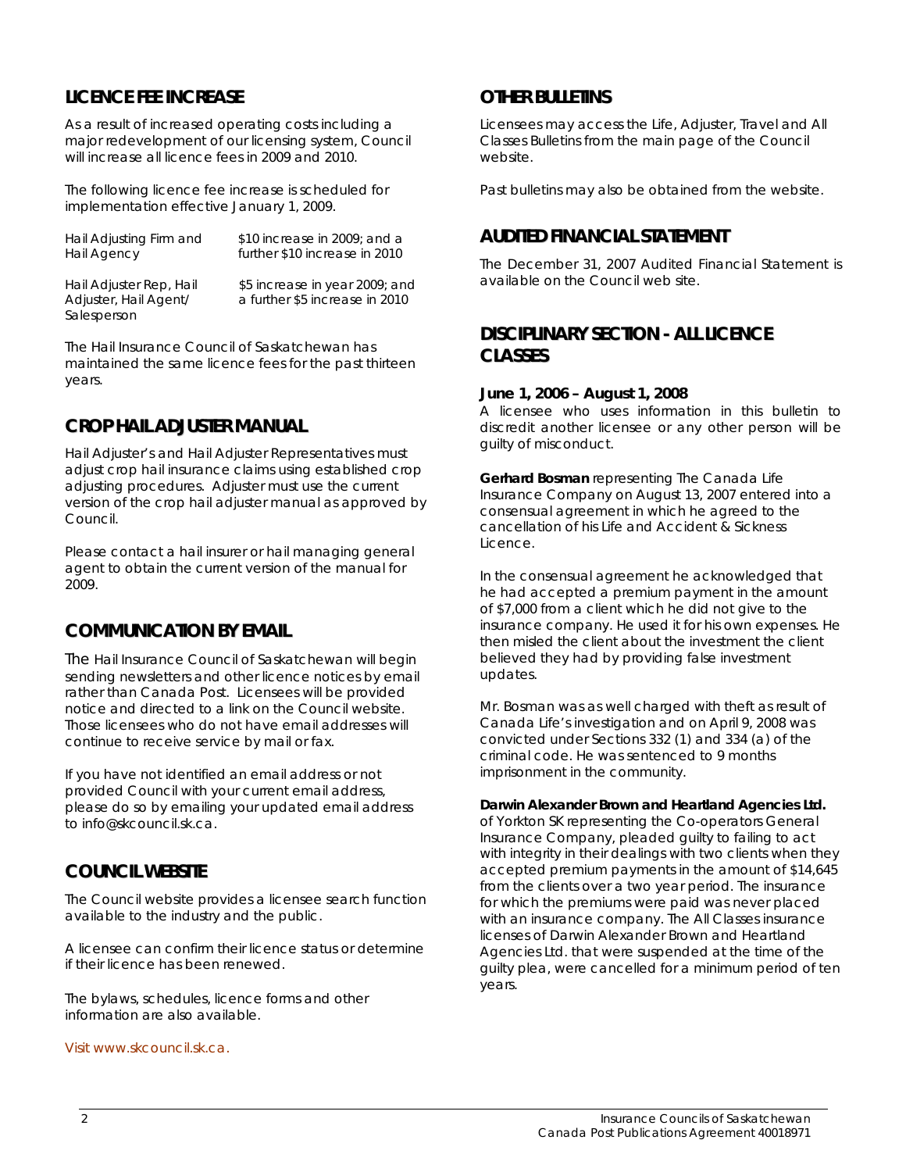# **LICENCE FEE INCREASE**

**Salesperson** 

As a result of increased operating costs including a major redevelopment of our licensing system, Council will increase all licence fees in 2009 and 2010.

The following licence fee increase is scheduled for implementation effective January 1, 2009.

| Hail Adjusting Firm and | \$10 increase in 2009; and a   |
|-------------------------|--------------------------------|
| <b>Hail Agency</b>      | further \$10 increase in 2010  |
| Hail Adjuster Rep, Hail | \$5 increase in year 2009; and |
| Adjuster, Hail Agent/   | a further \$5 increase in 2010 |

The Hail Insurance Council of Saskatchewan has maintained the same licence fees for the past thirteen years.

## **CROP HAIL ADJUSTER MANUAL**

Hail Adjuster's and Hail Adjuster Representatives must adjust crop hail insurance claims using established crop adjusting procedures. Adjuster must use the current version of the crop hail adjuster manual as approved by Council.

Please contact a hail insurer or hail managing general agent to obtain the current version of the manual for 2009.

## **COMMUNICATION BY EMAIL**

The Hail Insurance Council of Saskatchewan will begin sending newsletters and other licence notices by email rather than Canada Post. Licensees will be provided notice and directed to a link on the Council website. Those licensees who do not have email addresses will continue to receive service by mail or fax.

If you have not identified an email address or not provided Council with your current email address, please do so by emailing your updated email address to info@skcouncil.sk.ca.

## **COUNCIL WEBSITE**

The Council website provides a licensee search function available to the industry and the public.

A licensee can confirm their licence status or determine if their licence has been renewed.

The bylaws, schedules, licence forms and other information are also available.

[Visit www.skcouncil.sk.ca.](http://www.skcouncil.sk.ca/) 

## **OTHER BULLETINS**

Licensees may access the Life, Adjuster, Travel and All Classes Bulletins from the main page of the Council website.

Past bulletins may also be obtained from the website.

## **AUDITED FINANCIAL STATEMENT**

The December 31, 2007 Audited Financial Statement is available on the Council web site.

## **DISCIPLINARY SECTION - ALL LICENCE CLASSES**

#### **June 1, 2006 – August 1, 2008**

A licensee who uses information in this bulletin to discredit another licensee or any other person will be guilty of misconduct.

**Gerhard Bosman** representing The Canada Life Insurance Company on August 13, 2007 entered into a consensual agreement in which he agreed to the cancellation of his Life and Accident & Sickness Licence.

In the consensual agreement he acknowledged that he had accepted a premium payment in the amount of \$7,000 from a client which he did not give to the insurance company. He used it for his own expenses. He then misled the client about the investment the client believed they had by providing false investment updates.

Mr. Bosman was as well charged with theft as result of Canada Life's investigation and on April 9, 2008 was convicted under Sections 332 (1) and 334 (a) of the criminal code. He was sentenced to 9 months imprisonment in the community.

#### **Darwin Alexander Brown and Heartland Agencies Ltd.**

of Yorkton SK representing the Co-operators General Insurance Company, pleaded guilty to failing to act with integrity in their dealings with two clients when they accepted premium payments in the amount of \$14,645 from the clients over a two year period. The insurance for which the premiums were paid was never placed with an insurance company. The All Classes insurance licenses of Darwin Alexander Brown and Heartland Agencies Ltd. that were suspended at the time of the guilty plea, were cancelled for a minimum period of ten years.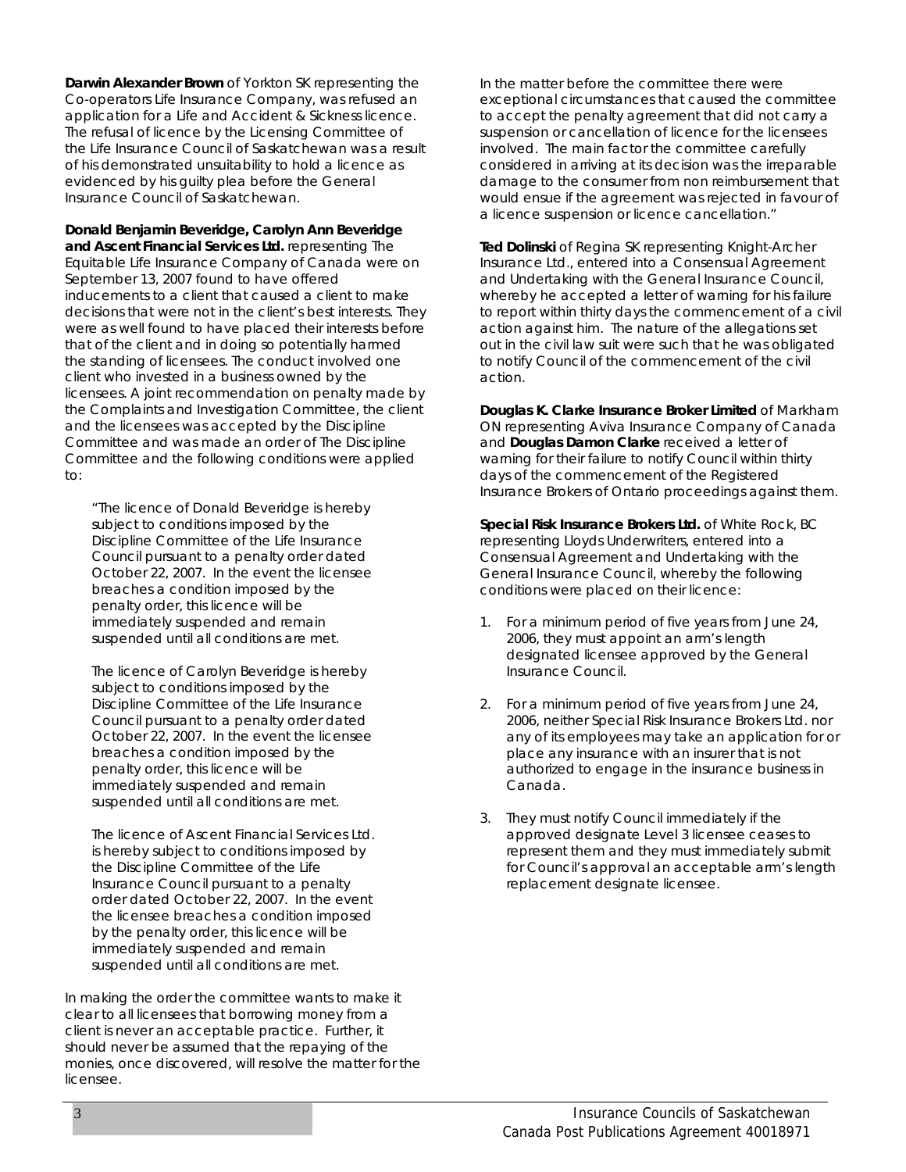**Darwin Alexander Brown** of Yorkton SK representing the Co-operators Life Insurance Company, was refused an application for a Life and Accident & Sickness licence. The refusal of licence by the Licensing Committee of the Life Insurance Council of Saskatchewan was a result of his demonstrated unsuitability to hold a licence as evidenced by his guilty plea before the General Insurance Council of Saskatchewan.

**Donald Benjamin Beveridge, Carolyn Ann Beveridge and Ascent Financial Services Ltd.** representing The Equitable Life Insurance Company of Canada were on September 13, 2007 found to have offered inducements to a client that caused a client to make decisions that were not in the client's best interests. They were as well found to have placed their interests before that of the client and in doing so potentially harmed the standing of licensees. The conduct involved one client who invested in a business owned by the licensees. A joint recommendation on penalty made by the Complaints and Investigation Committee, the client and the licensees was accepted by the Discipline Committee and was made an order of The Discipline Committee and the following conditions were applied to:

"The licence of Donald Beveridge is hereby subject to conditions imposed by the Discipline Committee of the Life Insurance Council pursuant to a penalty order dated October 22, 2007. In the event the licensee breaches a condition imposed by the penalty order, this licence will be immediately suspended and remain suspended until all conditions are met.

The licence of Carolyn Beveridge is hereby subject to conditions imposed by the Discipline Committee of the Life Insurance Council pursuant to a penalty order dated October 22, 2007. In the event the licensee breaches a condition imposed by the penalty order, this licence will be immediately suspended and remain suspended until all conditions are met.

The licence of Ascent Financial Services Ltd. is hereby subject to conditions imposed by the Discipline Committee of the Life Insurance Council pursuant to a penalty order dated October 22, 2007. In the event the licensee breaches a condition imposed by the penalty order, this licence will be immediately suspended and remain suspended until all conditions are met.

In making the order the committee wants to make it clear to all licensees that borrowing money from a client is never an acceptable practice. Further, it should never be assumed that the repaying of the monies, once discovered, will resolve the matter for the licensee.

In the matter before the committee there were exceptional circumstances that caused the committee to accept the penalty agreement that did not carry a suspension or cancellation of licence for the licensees involved. The main factor the committee carefully considered in arriving at its decision was the irreparable damage to the consumer from non reimbursement that would ensue if the agreement was rejected in favour of a licence suspension or licence cancellation."

**Ted Dolinski** of Regina SK representing Knight-Archer Insurance Ltd., entered into a Consensual Agreement and Undertaking with the General Insurance Council, whereby he accepted a letter of warning for his failure to report within thirty days the commencement of a civil action against him. The nature of the allegations set out in the civil law suit were such that he was obligated to notify Council of the commencement of the civil action.

**Douglas K. Clarke Insurance Broker Limited** of Markham ON representing Aviva Insurance Company of Canada and **Douglas Damon Clarke** received a letter of warning for their failure to notify Council within thirty days of the commencement of the Registered Insurance Brokers of Ontario proceedings against them.

**Special Risk Insurance Brokers Ltd.** of White Rock, BC representing Lloyds Underwriters, entered into a Consensual Agreement and Undertaking with the General Insurance Council, whereby the following conditions were placed on their licence:

- 1. For a minimum period of five years from June 24, 2006, they must appoint an arm's length designated licensee approved by the General Insurance Council.
- 2. For a minimum period of five years from June 24, 2006, neither Special Risk Insurance Brokers Ltd. nor any of its employees may take an application for or place any insurance with an insurer that is not authorized to engage in the insurance business in Canada.
- 3. They must notify Council immediately if the approved designate Level 3 licensee ceases to represent them and they must immediately submit for Council's approval an acceptable arm's length replacement designate licensee.